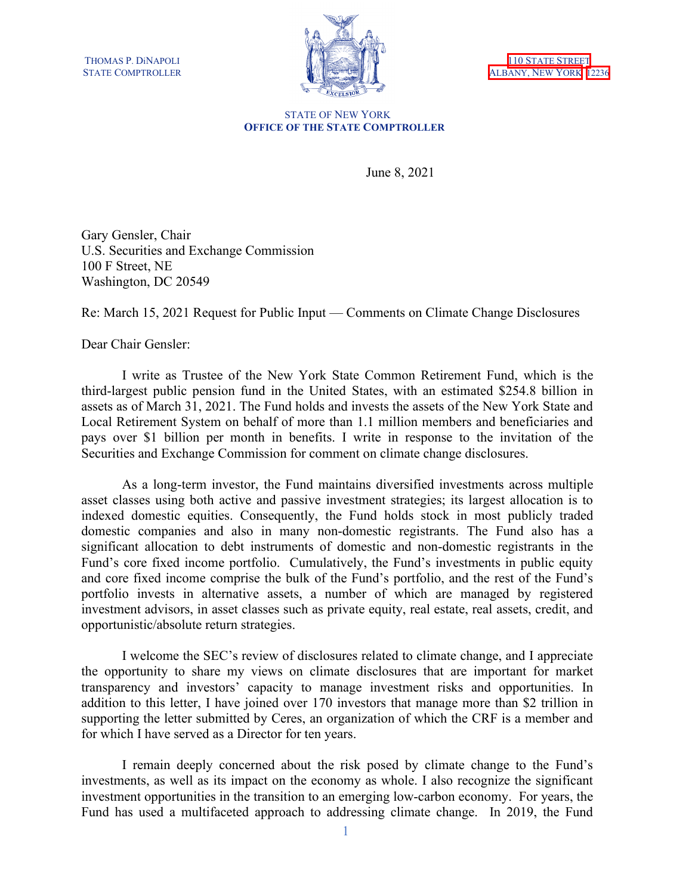



#### STATE OF NEW YORK **OFFICE OF THE STATE COMPTROLLER**

June 8, 2021

Gary Gensler, Chair U.S. Securities and Exchange Commission 100 F Street, NE Washington, DC 20549

Re: March 15, 2021 Request for Public Input — Comments on Climate Change Disclosures

Dear Chair Gensler:

I write as Trustee of the New York State Common Retirement Fund, which is the third-largest public pension fund in the United States, with an estimated \$254.8 billion in assets as of March 31, 2021. The Fund holds and invests the assets of the New York State and Local Retirement System on behalf of more than 1.1 million members and beneficiaries and pays over \$1 billion per month in benefits. I write in response to the invitation of the Securities and Exchange Commission for comment on climate change disclosures.

As a long-term investor, the Fund maintains diversified investments across multiple asset classes using both active and passive investment strategies; its largest allocation is to indexed domestic equities. Consequently, the Fund holds stock in most publicly traded domestic companies and also in many non-domestic registrants. The Fund also has a significant allocation to debt instruments of domestic and non-domestic registrants in the Fund's core fixed income portfolio. Cumulatively, the Fund's investments in public equity and core fixed income comprise the bulk of the Fund's portfolio, and the rest of the Fund's portfolio invests in alternative assets, a number of which are managed by registered investment advisors, in asset classes such as private equity, real estate, real assets, credit, and opportunistic/absolute return strategies.

I welcome the SEC's review of disclosures related to climate change, and I appreciate the opportunity to share my views on climate disclosures that are important for market transparency and investors' capacity to manage investment risks and opportunities. In addition to this letter, I have joined over 170 investors that manage more than \$2 trillion in supporting the letter submitted by Ceres, an organization of which the CRF is a member and for which I have served as a Director for ten years.

I remain deeply concerned about the risk posed by climate change to the Fund's investments, as well as its impact on the economy as whole. I also recognize the significant investment opportunities in the transition to an emerging low-carbon economy. For years, the Fund has used a multifaceted approach to addressing climate change. In 2019, the Fund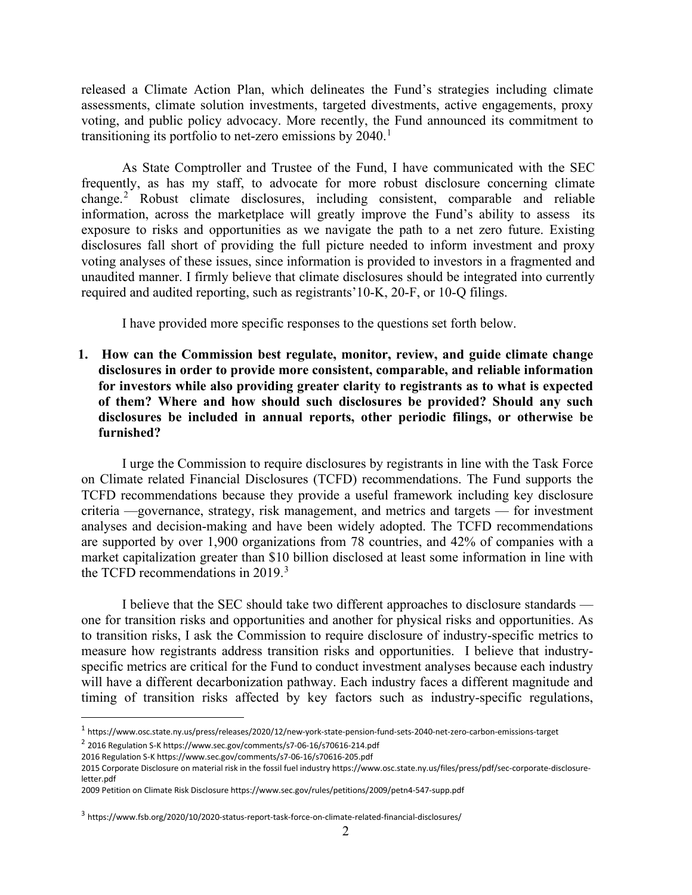released a Climate Action Plan, which delineates the Fund's strategies including climate assessments, climate solution investments, targeted divestments, active engagements, proxy voting, and public policy advocacy. More recently, the Fund announced its commitment to transitioning its portfolio to net-zero emissions by  $2040$ .<sup>[1](#page-1-0)</sup>

As State Comptroller and Trustee of the Fund, I have communicated with the SEC frequently, as has my staff, to advocate for more robust disclosure concerning climate change. [2](#page-1-1) Robust climate disclosures, including consistent, comparable and reliable information, across the marketplace will greatly improve the Fund's ability to assess its exposure to risks and opportunities as we navigate the path to a net zero future. Existing disclosures fall short of providing the full picture needed to inform investment and proxy voting analyses of these issues, since information is provided to investors in a fragmented and unaudited manner. I firmly believe that climate disclosures should be integrated into currently required and audited reporting, such as registrants'10-K, 20-F, or 10-Q filings.

I have provided more specific responses to the questions set forth below.

**1. How can the Commission best regulate, monitor, review, and guide climate change disclosures in order to provide more consistent, comparable, and reliable information for investors while also providing greater clarity to registrants as to what is expected of them? Where and how should such disclosures be provided? Should any such disclosures be included in annual reports, other periodic filings, or otherwise be furnished?**

I urge the Commission to require disclosures by registrants in line with the Task Force on Climate related Financial Disclosures (TCFD) recommendations. The Fund supports the TCFD recommendations because they provide a useful framework including key disclosure criteria —governance, strategy, risk management, and metrics and targets — for investment analyses and decision-making and have been widely adopted. The TCFD recommendations are supported by over 1,900 organizations from 78 countries, and 42% of companies with a market capitalization greater than \$10 billion disclosed at least some information in line with the TCFD recommendations in 2019.<sup>[3](#page-1-2)</sup>

I believe that the SEC should take two different approaches to disclosure standards one for transition risks and opportunities and another for physical risks and opportunities. As to transition risks, I ask the Commission to require disclosure of industry-specific metrics to measure how registrants address transition risks and opportunities. I believe that industryspecific metrics are critical for the Fund to conduct investment analyses because each industry will have a different decarbonization pathway. Each industry faces a different magnitude and timing of transition risks affected by key factors such as industry-specific regulations,

<span id="page-1-0"></span><sup>1</sup> https://www.osc.state.ny.us/press/releases/2020/12/new-york-state-pension-fund-sets-2040-net-zero-carbon-emissions-target <sup>2</sup> 2016 Regulation S-K https://www.sec.gov/comments/s7-06-16/s70616-214.pdf

<span id="page-1-1"></span><sup>2016</sup> Regulation S-K https://www.sec.gov/comments/s7-06-16/s70616-205.pdf

<sup>2015</sup> Corporate Disclosure on material risk in the fossil fuel industry https://www.osc.state.ny.us/files/press/pdf/sec-corporate-disclosure-

letter.pdf

<sup>2009</sup> Petition on Climate Risk Disclosure https://www.sec.gov/rules/petitions/2009/petn4-547-supp.pdf

<span id="page-1-2"></span><sup>3</sup> https://www.fsb.org/2020/10/2020-status-report-task-force-on-climate-related-financial-disclosures/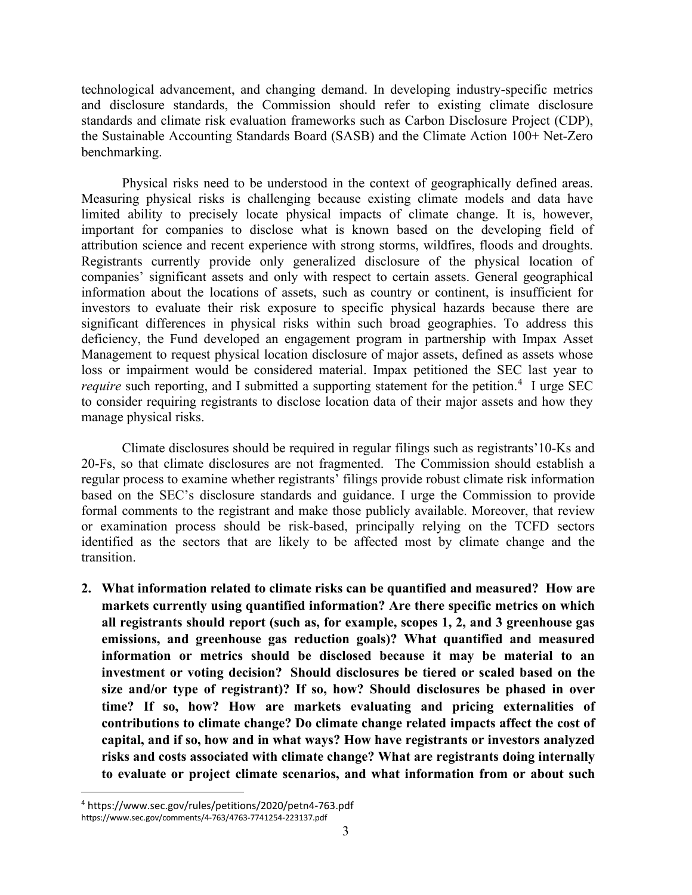technological advancement, and changing demand. In developing industry-specific metrics and disclosure standards, the Commission should refer to existing climate disclosure standards and climate risk evaluation frameworks such as Carbon Disclosure Project (CDP), the Sustainable Accounting Standards Board (SASB) and the Climate Action 100+ Net-Zero benchmarking.

Physical risks need to be understood in the context of geographically defined areas. Measuring physical risks is challenging because existing climate models and data have limited ability to precisely locate physical impacts of climate change. It is, however, important for companies to disclose what is known based on the developing field of attribution science and recent experience with strong storms, wildfires, floods and droughts. Registrants currently provide only generalized disclosure of the physical location of companies' significant assets and only with respect to certain assets. General geographical information about the locations of assets, such as country or continent, is insufficient for investors to evaluate their risk exposure to specific physical hazards because there are significant differences in physical risks within such broad geographies. To address this deficiency, the Fund developed an engagement program in partnership with Impax Asset Management to request physical location disclosure of major assets, defined as assets whose loss or impairment would be considered material. Impax petitioned the SEC last year to require such reporting, and I submitted a supporting statement for the petition.<sup>[4](#page-2-0)</sup> I urge SEC to consider requiring registrants to disclose location data of their major assets and how they manage physical risks.

Climate disclosures should be required in regular filings such as registrants'10-Ks and 20-Fs, so that climate disclosures are not fragmented. The Commission should establish a regular process to examine whether registrants' filings provide robust climate risk information based on the SEC's disclosure standards and guidance. I urge the Commission to provide formal comments to the registrant and make those publicly available. Moreover, that review or examination process should be risk-based, principally relying on the TCFD sectors identified as the sectors that are likely to be affected most by climate change and the transition.

**2. What information related to climate risks can be quantified and measured? How are markets currently using quantified information? Are there specific metrics on which all registrants should report (such as, for example, scopes 1, 2, and 3 greenhouse gas emissions, and greenhouse gas reduction goals)? What quantified and measured information or metrics should be disclosed because it may be material to an investment or voting decision? Should disclosures be tiered or scaled based on the size and/or type of registrant)? If so, how? Should disclosures be phased in over time? If so, how? How are markets evaluating and pricing externalities of contributions to climate change? Do climate change related impacts affect the cost of capital, and if so, how and in what ways? How have registrants or investors analyzed risks and costs associated with climate change? What are registrants doing internally to evaluate or project climate scenarios, and what information from or about such** 

<span id="page-2-0"></span><sup>4</sup> https://www.sec.gov/rules/petitions/2020/petn4-763.pdf https://www.sec.gov/comments/4-763/4763-7741254-223137.pdf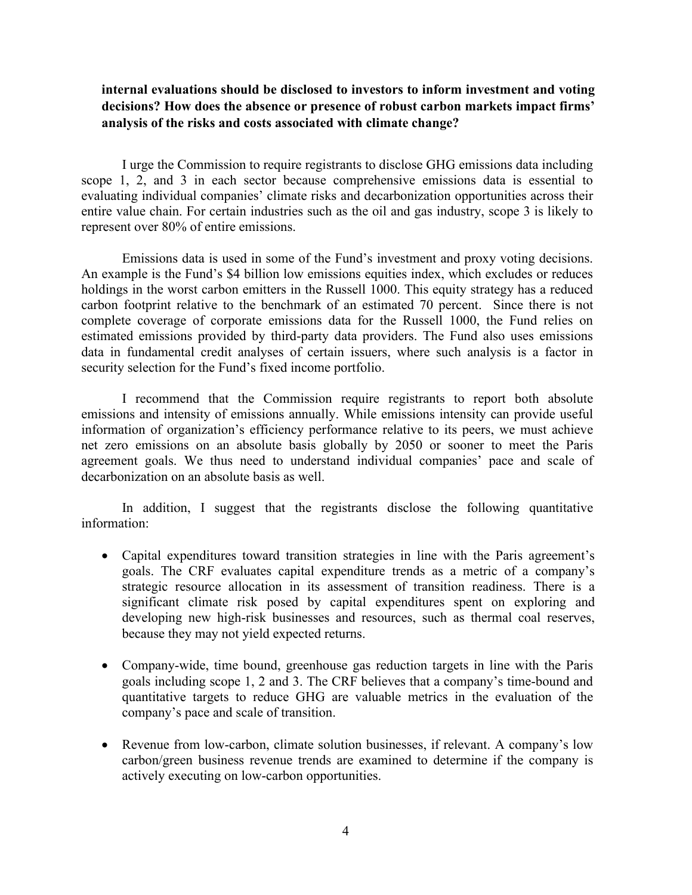# **internal evaluations should be disclosed to investors to inform investment and voting decisions? How does the absence or presence of robust carbon markets impact firms' analysis of the risks and costs associated with climate change?**

I urge the Commission to require registrants to disclose GHG emissions data including scope 1, 2, and 3 in each sector because comprehensive emissions data is essential to evaluating individual companies' climate risks and decarbonization opportunities across their entire value chain. For certain industries such as the oil and gas industry, scope 3 is likely to represent over 80% of entire emissions.

Emissions data is used in some of the Fund's investment and proxy voting decisions. An example is the Fund's \$4 billion low emissions equities index, which excludes or reduces holdings in the worst carbon emitters in the Russell 1000. This equity strategy has a reduced carbon footprint relative to the benchmark of an estimated 70 percent. Since there is not complete coverage of corporate emissions data for the Russell 1000, the Fund relies on estimated emissions provided by third-party data providers. The Fund also uses emissions data in fundamental credit analyses of certain issuers, where such analysis is a factor in security selection for the Fund's fixed income portfolio.

I recommend that the Commission require registrants to report both absolute emissions and intensity of emissions annually. While emissions intensity can provide useful information of organization's efficiency performance relative to its peers, we must achieve net zero emissions on an absolute basis globally by 2050 or sooner to meet the Paris agreement goals. We thus need to understand individual companies' pace and scale of decarbonization on an absolute basis as well.

In addition, I suggest that the registrants disclose the following quantitative information:

- Capital expenditures toward transition strategies in line with the Paris agreement's goals. The CRF evaluates capital expenditure trends as a metric of a company's strategic resource allocation in its assessment of transition readiness. There is a significant climate risk posed by capital expenditures spent on exploring and developing new high-risk businesses and resources, such as thermal coal reserves, because they may not yield expected returns.
- Company-wide, time bound, greenhouse gas reduction targets in line with the Paris goals including scope 1, 2 and 3. The CRF believes that a company's time-bound and quantitative targets to reduce GHG are valuable metrics in the evaluation of the company's pace and scale of transition.
- Revenue from low-carbon, climate solution businesses, if relevant. A company's low carbon/green business revenue trends are examined to determine if the company is actively executing on low-carbon opportunities.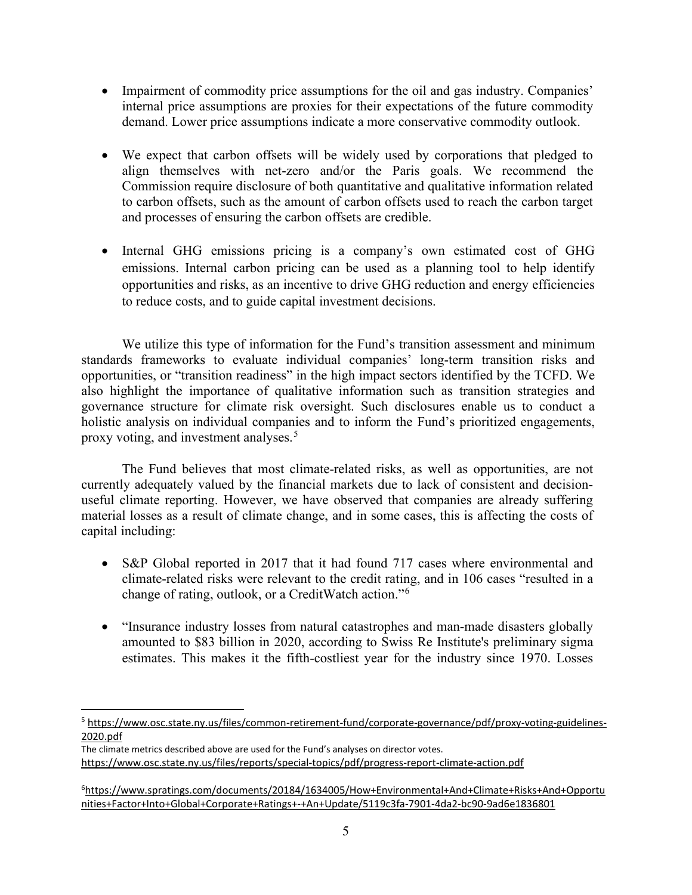- Impairment of commodity price assumptions for the oil and gas industry. Companies' internal price assumptions are proxies for their expectations of the future commodity demand. Lower price assumptions indicate a more conservative commodity outlook.
- We expect that carbon offsets will be widely used by corporations that pledged to align themselves with net-zero and/or the Paris goals. We recommend the Commission require disclosure of both quantitative and qualitative information related to carbon offsets, such as the amount of carbon offsets used to reach the carbon target and processes of ensuring the carbon offsets are credible.
- Internal GHG emissions pricing is a company's own estimated cost of GHG emissions. Internal carbon pricing can be used as a planning tool to help identify opportunities and risks, as an incentive to drive GHG reduction and energy efficiencies to reduce costs, and to guide capital investment decisions.

We utilize this type of information for the Fund's transition assessment and minimum standards frameworks to evaluate individual companies' long-term transition risks and opportunities, or "transition readiness" in the high impact sectors identified by the TCFD. We also highlight the importance of qualitative information such as transition strategies and governance structure for climate risk oversight. Such disclosures enable us to conduct a holistic analysis on individual companies and to inform the Fund's prioritized engagements, proxy voting, and investment analyses.<sup>[5](#page-4-0)</sup>

The Fund believes that most climate-related risks, as well as opportunities, are not currently adequately valued by the financial markets due to lack of consistent and decisionuseful climate reporting. However, we have observed that companies are already suffering material losses as a result of climate change, and in some cases, this is affecting the costs of capital including:

- S&P Global reported in 2017 that it had found 717 cases where environmental and climate-related risks were relevant to the credit rating, and in 106 cases "resulted in a change of rating, outlook, or a CreditWatch action."[6](#page-4-1)
- "Insurance industry losses from natural catastrophes and man-made disasters globally amounted to \$83 billion in 2020, according to Swiss Re Institute's preliminary sigma estimates. This makes it the fifth-costliest year for the industry since 1970. Losses

<span id="page-4-0"></span><sup>5</sup> [https://www.osc.state.ny.us/files/common-retirement-fund/corporate-governance/pdf/proxy-voting-guidelines-](https://www.osc.state.ny.us/files/common-retirement-fund/corporate-governance/pdf/proxy-voting-guidelines-2020.pdf)[2020.pdf](https://www.osc.state.ny.us/files/common-retirement-fund/corporate-governance/pdf/proxy-voting-guidelines-2020.pdf) 

The climate metrics described above are used for the Fund's analyses on director votes. <https://www.osc.state.ny.us/files/reports/special-topics/pdf/progress-report-climate-action.pdf>

<span id="page-4-1"></span><sup>6</sup> [https://www.spratings.com/documents/20184/1634005/How+Environmental+And+Climate+Risks+And+Opportu](https://www.spratings.com/documents/20184/1634005/How+Environmental+And+Climate+Risks+And+Opportunities+Factor+Into+Global+Corporate+Ratings+-+An+Update/5119c3fa-7901-4da2-bc90-9ad6e1836801) [nities+Factor+Into+Global+Corporate+Ratings+-+An+Update/5119c3fa-7901-4da2-bc90-9ad6e1836801](https://www.spratings.com/documents/20184/1634005/How+Environmental+And+Climate+Risks+And+Opportunities+Factor+Into+Global+Corporate+Ratings+-+An+Update/5119c3fa-7901-4da2-bc90-9ad6e1836801)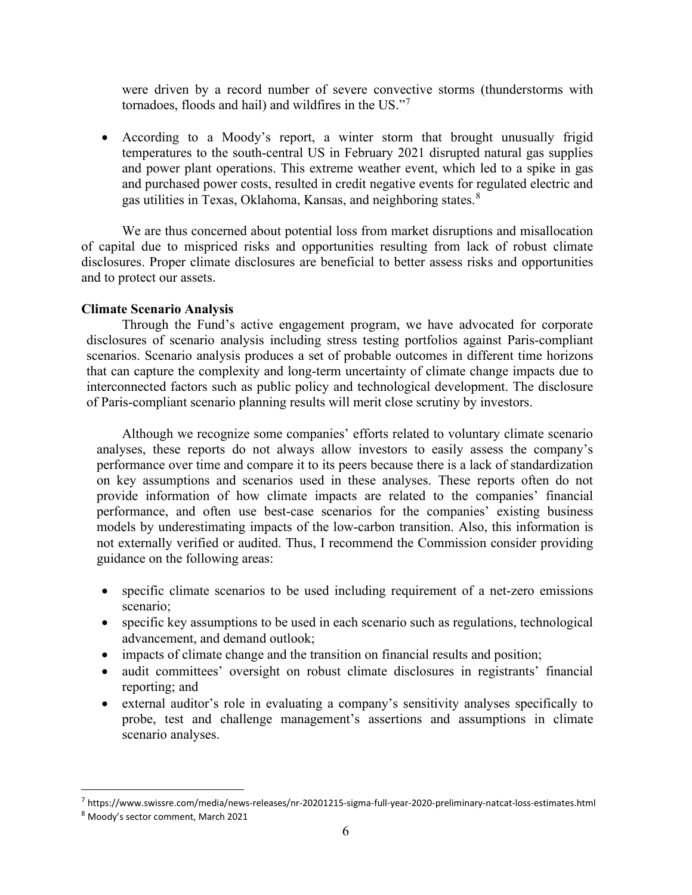were driven by a record number of severe convective storms (thunderstorms with tornadoes, floods and hail) and wildfires in the US."<sup>[7](#page-5-0)</sup>

• According to a Moody's report, a winter storm that brought unusually frigid temperatures to the south-central US in February 2021 disrupted natural gas supplies and power plant operations. This extreme weather event, which led to a spike in gas and purchased power costs, resulted in credit negative events for regulated electric and gas utilities in Texas, Oklahoma, Kansas, and neighboring states.<sup>[8](#page-5-1)</sup>

We are thus concerned about potential loss from market disruptions and misallocation of capital due to mispriced risks and opportunities resulting from lack of robust climate disclosures. Proper climate disclosures are beneficial to better assess risks and opportunities and to protect our assets.

#### **Climate Scenario Analysis**

Through the Fund's active engagement program, we have advocated for corporate disclosures of scenario analysis including stress testing portfolios against Paris-compliant scenarios. Scenario analysis produces a set of probable outcomes in different time horizons that can capture the complexity and long-term uncertainty of climate change impacts due to interconnected factors such as public policy and technological development. The disclosure of Paris-compliant scenario planning results will merit close scrutiny by investors.

Although we recognize some companies' efforts related to voluntary climate scenario analyses, these reports do not always allow investors to easily assess the company's performance over time and compare it to its peers because there is a lack of standardization on key assumptions and scenarios used in these analyses. These reports often do not provide information of how climate impacts are related to the companies' financial performance, and often use best-case scenarios for the companies' existing business models by underestimating impacts of the low-carbon transition. Also, this information is not externally verified or audited. Thus, I recommend the Commission consider providing guidance on the following areas:

- specific climate scenarios to be used including requirement of a net-zero emissions scenario;
- specific key assumptions to be used in each scenario such as regulations, technological advancement, and demand outlook;
- impacts of climate change and the transition on financial results and position;
- audit committees' oversight on robust climate disclosures in registrants' financial reporting; and
- external auditor's role in evaluating a company's sensitivity analyses specifically to probe, test and challenge management's assertions and assumptions in climate scenario analyses.

<span id="page-5-0"></span><sup>7</sup> https://www.swissre.com/media/news-releases/nr-20201215-sigma-full-year-2020-preliminary-natcat-loss-estimates.html

<span id="page-5-1"></span><sup>8</sup> Moody's sector comment, March 2021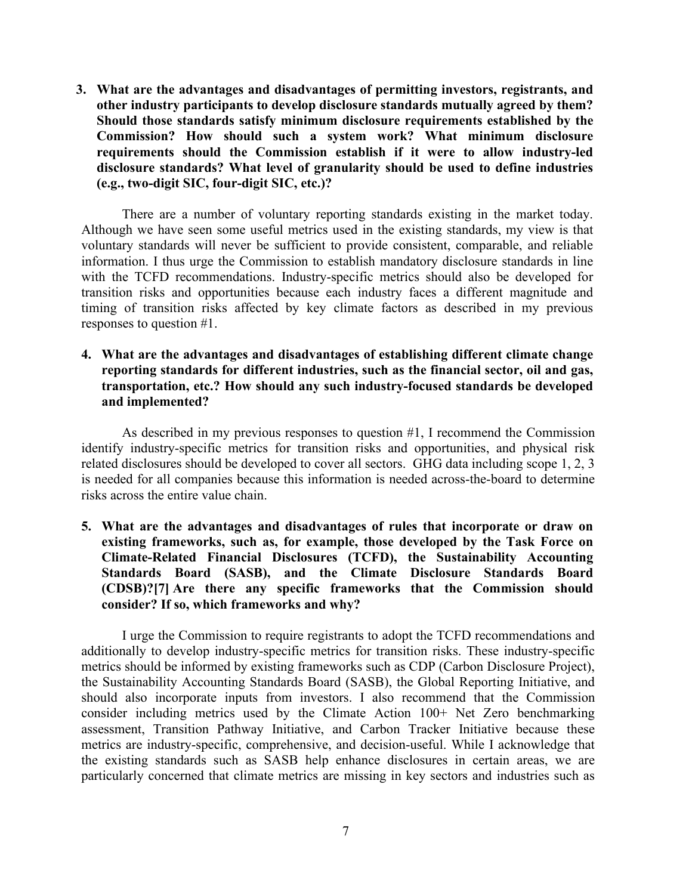**3. What are the advantages and disadvantages of permitting investors, registrants, and other industry participants to develop disclosure standards mutually agreed by them? Should those standards satisfy minimum disclosure requirements established by the Commission? How should such a system work? What minimum disclosure requirements should the Commission establish if it were to allow industry-led disclosure standards? What level of granularity should be used to define industries (e.g., two-digit SIC, four-digit SIC, etc.)?**

There are a number of voluntary reporting standards existing in the market today. Although we have seen some useful metrics used in the existing standards, my view is that voluntary standards will never be sufficient to provide consistent, comparable, and reliable information. I thus urge the Commission to establish mandatory disclosure standards in line with the TCFD recommendations. Industry-specific metrics should also be developed for transition risks and opportunities because each industry faces a different magnitude and timing of transition risks affected by key climate factors as described in my previous responses to question #1.

### **4. What are the advantages and disadvantages of establishing different climate change reporting standards for different industries, such as the financial sector, oil and gas, transportation, etc.? How should any such industry-focused standards be developed and implemented?**

As described in my previous responses to question #1, I recommend the Commission identify industry-specific metrics for transition risks and opportunities, and physical risk related disclosures should be developed to cover all sectors. GHG data including scope 1, 2, 3 is needed for all companies because this information is needed across-the-board to determine risks across the entire value chain.

**5. What are the advantages and disadvantages of rules that incorporate or draw on existing frameworks, such as, for example, those developed by the Task Force on Climate-Related Financial Disclosures (TCFD), the Sustainability Accounting Standards Board (SASB), and the Climate Disclosure Standards Board (CDSB)[?\[7\]](https://www.sec.gov/news/public-statement/lee-climate-change-disclosures#_ftn7) Are there any specific frameworks that the Commission should consider? If so, which frameworks and why?**

I urge the Commission to require registrants to adopt the TCFD recommendations and additionally to develop industry-specific metrics for transition risks. These industry-specific metrics should be informed by existing frameworks such as CDP (Carbon Disclosure Project), the Sustainability Accounting Standards Board (SASB), the Global Reporting Initiative, and should also incorporate inputs from investors. I also recommend that the Commission consider including metrics used by the Climate Action 100+ Net Zero benchmarking assessment, Transition Pathway Initiative, and Carbon Tracker Initiative because these metrics are industry-specific, comprehensive, and decision-useful. While I acknowledge that the existing standards such as SASB help enhance disclosures in certain areas, we are particularly concerned that climate metrics are missing in key sectors and industries such as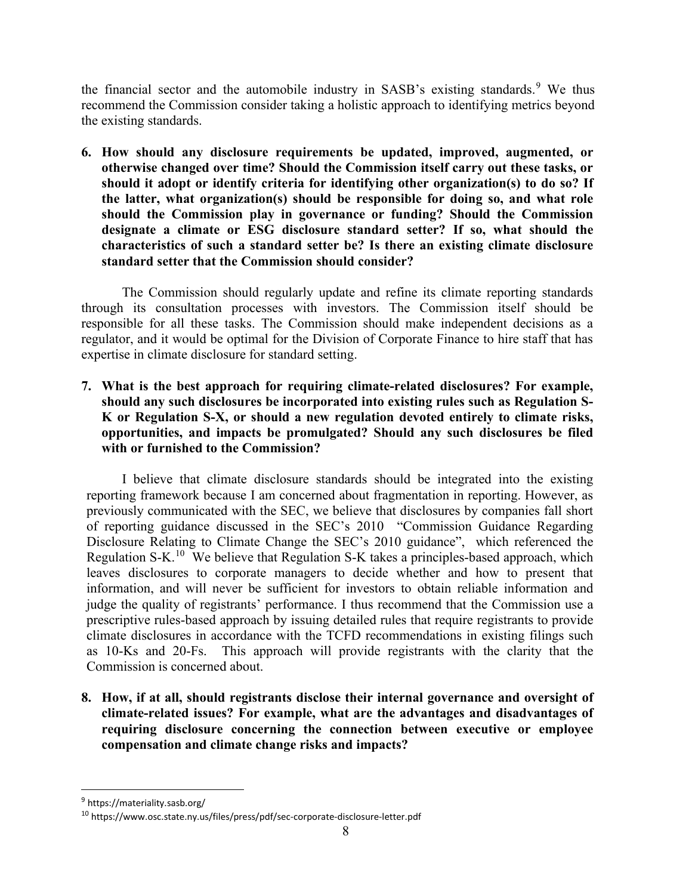the financial sector and the automobile industry in SASB's existing standards.<sup>[9](#page-7-0)</sup> We thus recommend the Commission consider taking a holistic approach to identifying metrics beyond the existing standards.

**6. How should any disclosure requirements be updated, improved, augmented, or otherwise changed over time? Should the Commission itself carry out these tasks, or should it adopt or identify criteria for identifying other organization(s) to do so? If the latter, what organization(s) should be responsible for doing so, and what role should the Commission play in governance or funding? Should the Commission designate a climate or ESG disclosure standard setter? If so, what should the characteristics of such a standard setter be? Is there an existing climate disclosure standard setter that the Commission should consider?**

The Commission should regularly update and refine its climate reporting standards through its consultation processes with investors. The Commission itself should be responsible for all these tasks. The Commission should make independent decisions as a regulator, and it would be optimal for the Division of Corporate Finance to hire staff that has expertise in climate disclosure for standard setting.

**7. What is the best approach for requiring climate-related disclosures? For example, should any such disclosures be incorporated into existing rules such as Regulation S-K or Regulation S-X, or should a new regulation devoted entirely to climate risks, opportunities, and impacts be promulgated? Should any such disclosures be filed with or furnished to the Commission?** 

I believe that climate disclosure standards should be integrated into the existing reporting framework because I am concerned about fragmentation in reporting. However, as previously communicated with the SEC, we believe that disclosures by companies fall short of reporting guidance discussed in the SEC's 2010 "Commission Guidance Regarding Disclosure Relating to Climate Change the SEC's 2010 guidance", which referenced the Regulation S-K.[10](#page-7-1) We believe that Regulation S-K takes a principles-based approach, which leaves disclosures to corporate managers to decide whether and how to present that information, and will never be sufficient for investors to obtain reliable information and judge the quality of registrants' performance. I thus recommend that the Commission use a prescriptive rules-based approach by issuing detailed rules that require registrants to provide climate disclosures in accordance with the TCFD recommendations in existing filings such as 10-Ks and 20-Fs. This approach will provide registrants with the clarity that the Commission is concerned about.

**8. How, if at all, should registrants disclose their internal governance and oversight of climate-related issues? For example, what are the advantages and disadvantages of requiring disclosure concerning the connection between executive or employee compensation and climate change risks and impacts?**

<span id="page-7-0"></span><sup>9</sup> https://materiality.sasb.org/

<span id="page-7-1"></span><sup>10</sup> https://www.osc.state.ny.us/files/press/pdf/sec-corporate-disclosure-letter.pdf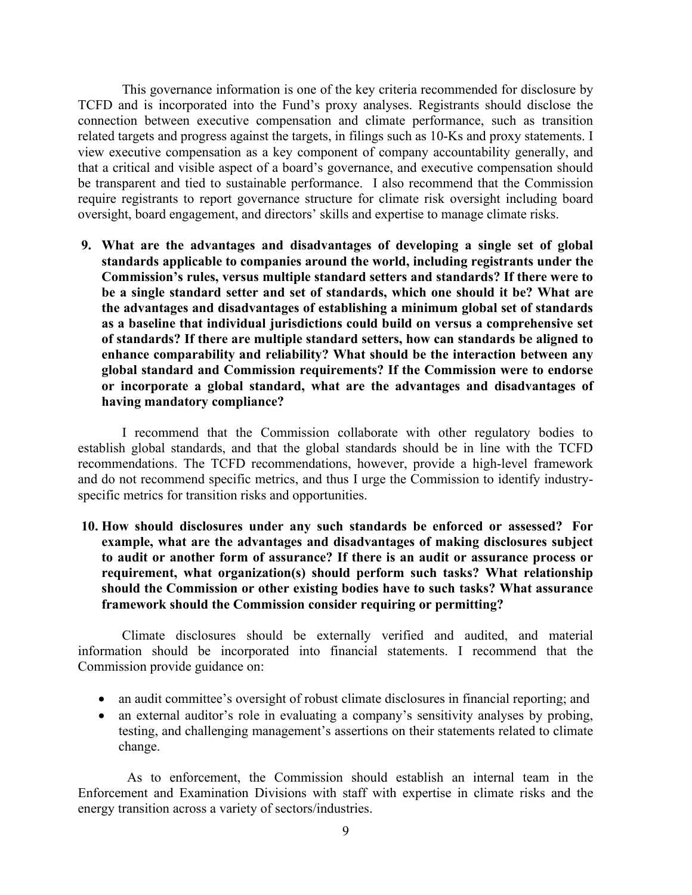This governance information is one of the key criteria recommended for disclosure by TCFD and is incorporated into the Fund's proxy analyses. Registrants should disclose the connection between executive compensation and climate performance, such as transition related targets and progress against the targets, in filings such as 10-Ks and proxy statements. I view executive compensation as a key component of company accountability generally, and that a critical and visible aspect of a board's governance, and executive compensation should be transparent and tied to sustainable performance. I also recommend that the Commission require registrants to report governance structure for climate risk oversight including board oversight, board engagement, and directors' skills and expertise to manage climate risks.

**9. What are the advantages and disadvantages of developing a single set of global standards applicable to companies around the world, including registrants under the Commission's rules, versus multiple standard setters and standards? If there were to be a single standard setter and set of standards, which one should it be? What are the advantages and disadvantages of establishing a minimum global set of standards as a baseline that individual jurisdictions could build on versus a comprehensive set of standards? If there are multiple standard setters, how can standards be aligned to enhance comparability and reliability? What should be the interaction between any global standard and Commission requirements? If the Commission were to endorse or incorporate a global standard, what are the advantages and disadvantages of having mandatory compliance?**

I recommend that the Commission collaborate with other regulatory bodies to establish global standards, and that the global standards should be in line with the TCFD recommendations. The TCFD recommendations, however, provide a high-level framework and do not recommend specific metrics, and thus I urge the Commission to identify industryspecific metrics for transition risks and opportunities.

**10. How should disclosures under any such standards be enforced or assessed? For example, what are the advantages and disadvantages of making disclosures subject to audit or another form of assurance? If there is an audit or assurance process or requirement, what organization(s) should perform such tasks? What relationship should the Commission or other existing bodies have to such tasks? What assurance framework should the Commission consider requiring or permitting?**

Climate disclosures should be externally verified and audited, and material information should be incorporated into financial statements. I recommend that the Commission provide guidance on:

- an audit committee's oversight of robust climate disclosures in financial reporting; and
- an external auditor's role in evaluating a company's sensitivity analyses by probing, testing, and challenging management's assertions on their statements related to climate change.

As to enforcement, the Commission should establish an internal team in the Enforcement and Examination Divisions with staff with expertise in climate risks and the energy transition across a variety of sectors/industries.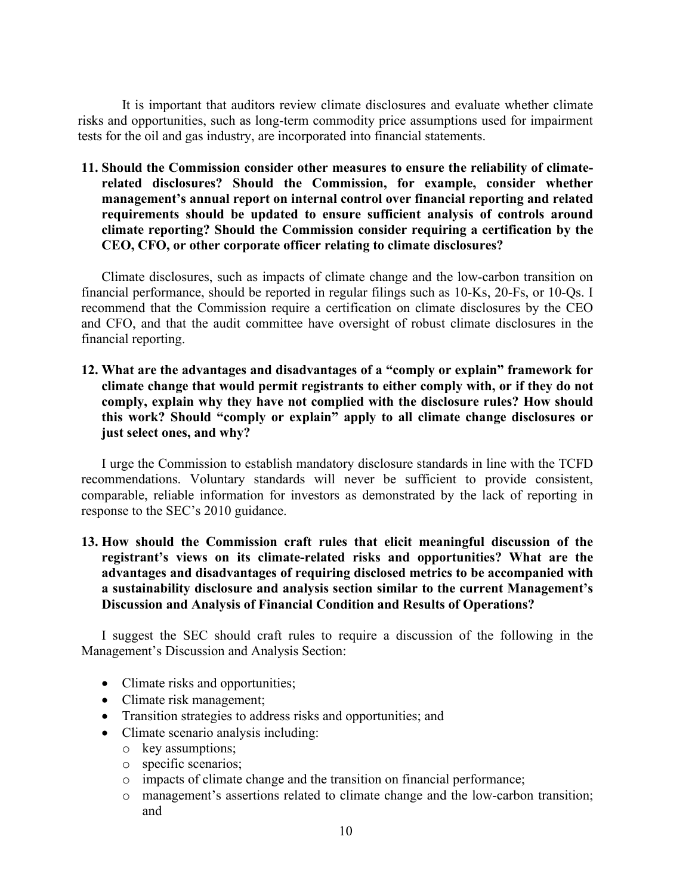It is important that auditors review climate disclosures and evaluate whether climate risks and opportunities, such as long-term commodity price assumptions used for impairment tests for the oil and gas industry, are incorporated into financial statements.

**11. Should the Commission consider other measures to ensure the reliability of climaterelated disclosures? Should the Commission, for example, consider whether management's annual report on internal control over financial reporting and related requirements should be updated to ensure sufficient analysis of controls around climate reporting? Should the Commission consider requiring a certification by the CEO, CFO, or other corporate officer relating to climate disclosures?**

Climate disclosures, such as impacts of climate change and the low-carbon transition on financial performance, should be reported in regular filings such as 10-Ks, 20-Fs, or 10-Qs. I recommend that the Commission require a certification on climate disclosures by the CEO and CFO, and that the audit committee have oversight of robust climate disclosures in the financial reporting.

**12. What are the advantages and disadvantages of a "comply or explain" framework for climate change that would permit registrants to either comply with, or if they do not comply, explain why they have not complied with the disclosure rules? How should this work? Should "comply or explain" apply to all climate change disclosures or just select ones, and why?**

I urge the Commission to establish mandatory disclosure standards in line with the TCFD recommendations. Voluntary standards will never be sufficient to provide consistent, comparable, reliable information for investors as demonstrated by the lack of reporting in response to the SEC's 2010 guidance.

**13. How should the Commission craft rules that elicit meaningful discussion of the registrant's views on its climate-related risks and opportunities? What are the advantages and disadvantages of requiring disclosed metrics to be accompanied with a sustainability disclosure and analysis section similar to the current Management's Discussion and Analysis of Financial Condition and Results of Operations?**

I suggest the SEC should craft rules to require a discussion of the following in the Management's Discussion and Analysis Section:

- Climate risks and opportunities;
- Climate risk management;
- Transition strategies to address risks and opportunities; and
- Climate scenario analysis including:
	- o key assumptions;
	- o specific scenarios;
	- o impacts of climate change and the transition on financial performance;
	- o management's assertions related to climate change and the low-carbon transition; and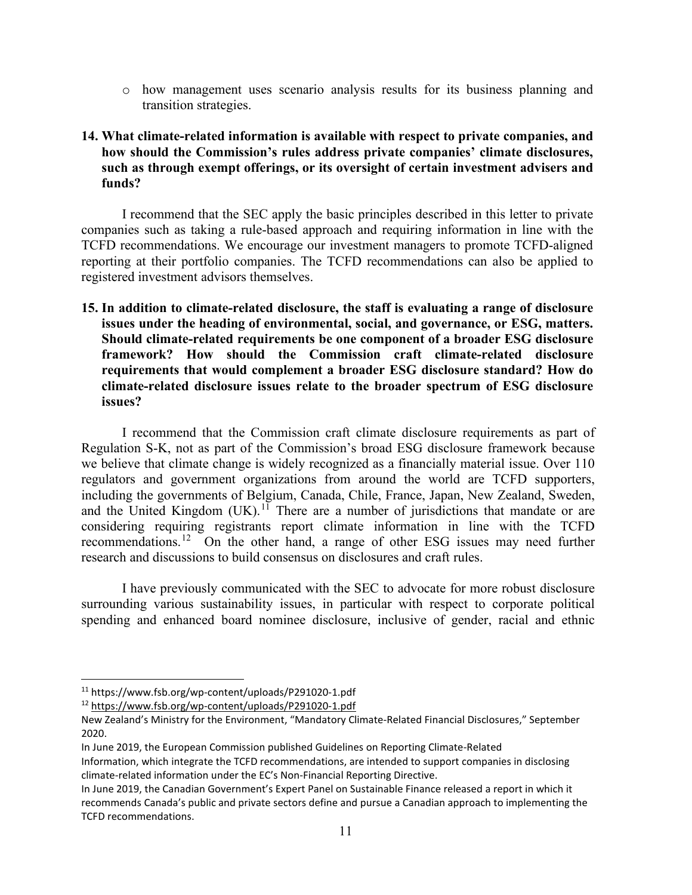o how management uses scenario analysis results for its business planning and transition strategies.

## **14. What climate-related information is available with respect to private companies, and how should the Commission's rules address private companies' climate disclosures, such as through exempt offerings, or its oversight of certain investment advisers and funds?**

I recommend that the SEC apply the basic principles described in this letter to private companies such as taking a rule-based approach and requiring information in line with the TCFD recommendations. We encourage our investment managers to promote TCFD-aligned reporting at their portfolio companies. The TCFD recommendations can also be applied to registered investment advisors themselves.

**15. In addition to climate-related disclosure, the staff is evaluating a range of disclosure issues under the heading of environmental, social, and governance, or ESG, matters. Should climate-related requirements be one component of a broader ESG disclosure framework? How should the Commission craft climate-related disclosure requirements that would complement a broader ESG disclosure standard? How do climate-related disclosure issues relate to the broader spectrum of ESG disclosure issues?**

I recommend that the Commission craft climate disclosure requirements as part of Regulation S-K, not as part of the Commission's broad ESG disclosure framework because we believe that climate change is widely recognized as a financially material issue. Over 110 regulators and government organizations from around the world are TCFD supporters, including the governments of Belgium, Canada, Chile, France, Japan, New Zealand, Sweden, and the United Kingdom  $(UK).<sup>11</sup>$  $(UK).<sup>11</sup>$  $(UK).<sup>11</sup>$  There are a number of jurisdictions that mandate or are considering requiring registrants report climate information in line with the TCFD recommendations.<sup>12</sup> On the other hand, a range of other ESG issues may need further research and discussions to build consensus on disclosures and craft rules.

I have previously communicated with the SEC to advocate for more robust disclosure surrounding various sustainability issues, in particular with respect to corporate political spending and enhanced board nominee disclosure, inclusive of gender, racial and ethnic

<span id="page-10-1"></span><sup>12</sup> <https://www.fsb.org/wp-content/uploads/P291020-1.pdf>

<span id="page-10-0"></span><sup>11</sup> https://www.fsb.org/wp-content/uploads/P291020-1.pdf

New Zealand's Ministry for the Environment, "Mandatory Climate-Related Financial Disclosures," September 2020.

In June 2019, the European Commission published Guidelines on Reporting Climate-Related

Information, which integrate the TCFD recommendations, are intended to support companies in disclosing climate-related information under the EC's Non-Financial Reporting Directive.

In June 2019, the Canadian Government's Expert Panel on Sustainable Finance released a report in which it recommends Canada's public and private sectors define and pursue a Canadian approach to implementing the TCFD recommendations.